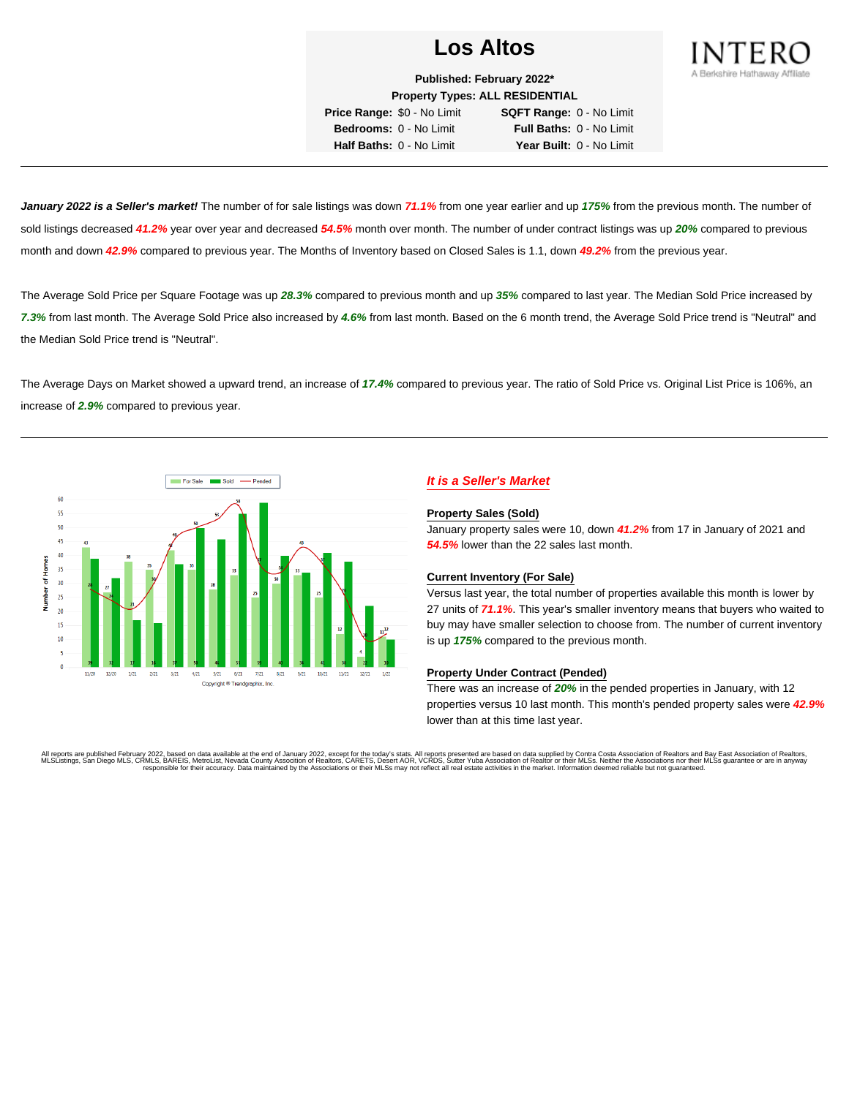

**Published: February 2022\* Property Types: ALL RESIDENTIAL**

**Price Range:** \$0 - No Limit **SQFT Range:** 0 - No Limit **Bedrooms:** 0 - No Limit **Full Baths:** 0 - No Limit **Half Baths:** 0 - No Limit **Year Built:** 0 - No Limit

**January 2022 is a Seller's market!** The number of for sale listings was down **71.1%** from one year earlier and up **175%** from the previous month. The number of sold listings decreased **41.2%** year over year and decreased **54.5%** month over month. The number of under contract listings was up **20%** compared to previous month and down **42.9%** compared to previous year. The Months of Inventory based on Closed Sales is 1.1, down **49.2%** from the previous year.

The Average Sold Price per Square Footage was up **28.3%** compared to previous month and up **35%** compared to last year. The Median Sold Price increased by **7.3%** from last month. The Average Sold Price also increased by **4.6%** from last month. Based on the 6 month trend, the Average Sold Price trend is "Neutral" and the Median Sold Price trend is "Neutral".

The Average Days on Market showed a upward trend, an increase of **17.4%** compared to previous year. The ratio of Sold Price vs. Original List Price is 106%, an increase of **2.9%** compared to previous year.



# **It is a Seller's Market**

#### **Property Sales (Sold)**

January property sales were 10, down **41.2%** from 17 in January of 2021 and **54.5%** lower than the 22 sales last month.

## **Current Inventory (For Sale)**

Versus last year, the total number of properties available this month is lower by 27 units of **71.1%**. This year's smaller inventory means that buyers who waited to buy may have smaller selection to choose from. The number of current inventory is up **175%** compared to the previous month.

#### **Property Under Contract (Pended)**

There was an increase of **20%** in the pended properties in January, with 12 properties versus 10 last month. This month's pended property sales were **42.9%** lower than at this time last year.

All reports are published February 2022, based on data available at the end of January 2022, except for the today's stats. All reports presented are based on data supplied by Contra Costa Association of Realtors and Bay Ea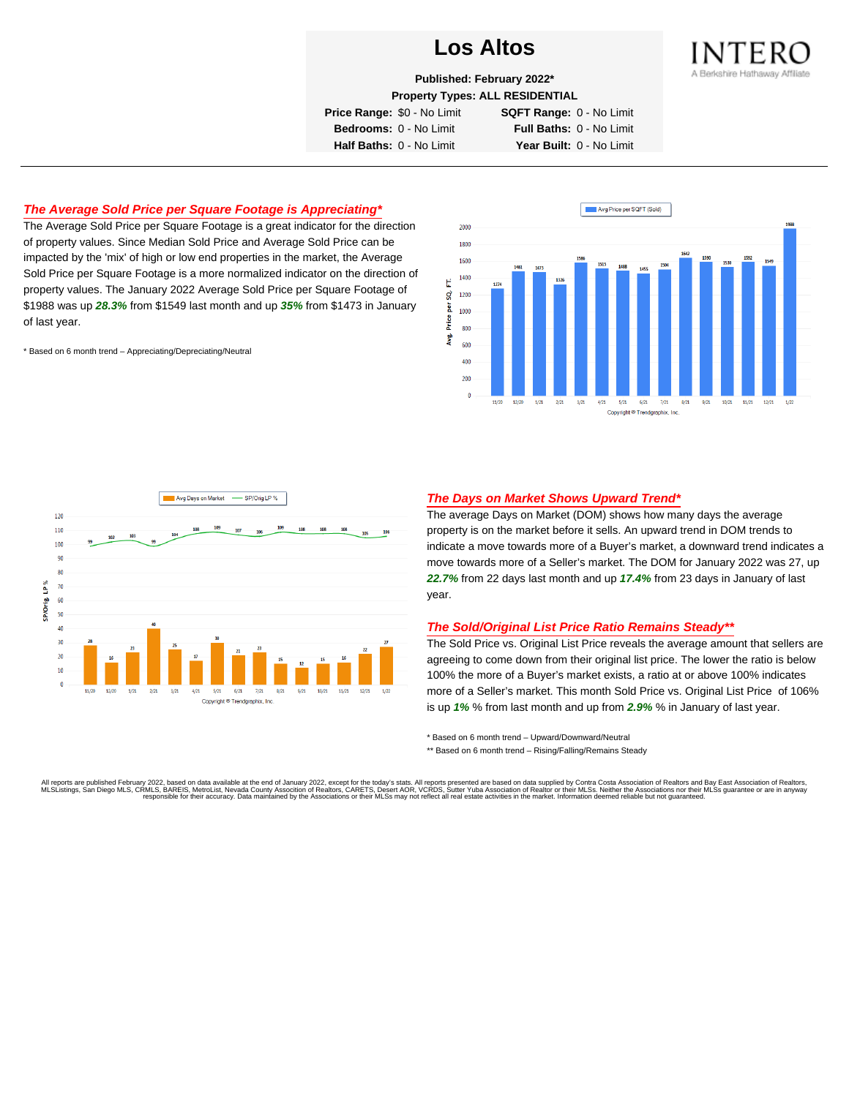

**Published: February 2022\***

**Property Types: ALL RESIDENTIAL**

**Price Range:** \$0 - No Limit **SQFT Range:** 0 - No Limit

**Bedrooms:** 0 - No Limit **Full Baths:** 0 - No Limit **Half Baths:** 0 - No Limit **Year Built:** 0 - No Limit

# **The Average Sold Price per Square Footage is Appreciating\***

The Average Sold Price per Square Footage is a great indicator for the direction of property values. Since Median Sold Price and Average Sold Price can be impacted by the 'mix' of high or low end properties in the market, the Average Sold Price per Square Footage is a more normalized indicator on the direction of property values. The January 2022 Average Sold Price per Square Footage of \$1988 was up **28.3%** from \$1549 last month and up **35%** from \$1473 in January of last year.

\* Based on 6 month trend – Appreciating/Depreciating/Neutral





## **The Days on Market Shows Upward Trend\***

The average Days on Market (DOM) shows how many days the average property is on the market before it sells. An upward trend in DOM trends to indicate a move towards more of a Buyer's market, a downward trend indicates a move towards more of a Seller's market. The DOM for January 2022 was 27, up **22.7%** from 22 days last month and up **17.4%** from 23 days in January of last year.

#### **The Sold/Original List Price Ratio Remains Steady\*\***

The Sold Price vs. Original List Price reveals the average amount that sellers are agreeing to come down from their original list price. The lower the ratio is below 100% the more of a Buyer's market exists, a ratio at or above 100% indicates more of a Seller's market. This month Sold Price vs. Original List Price of 106% is up **1%** % from last month and up from **2.9%** % in January of last year.

\* Based on 6 month trend – Upward/Downward/Neutral

\*\* Based on 6 month trend - Rising/Falling/Remains Steady

All reports are published February 2022, based on data available at the end of January 2022, except for the today's stats. All reports presented are based on data supplied by Contra Costa Association of Realtors and Bay Ea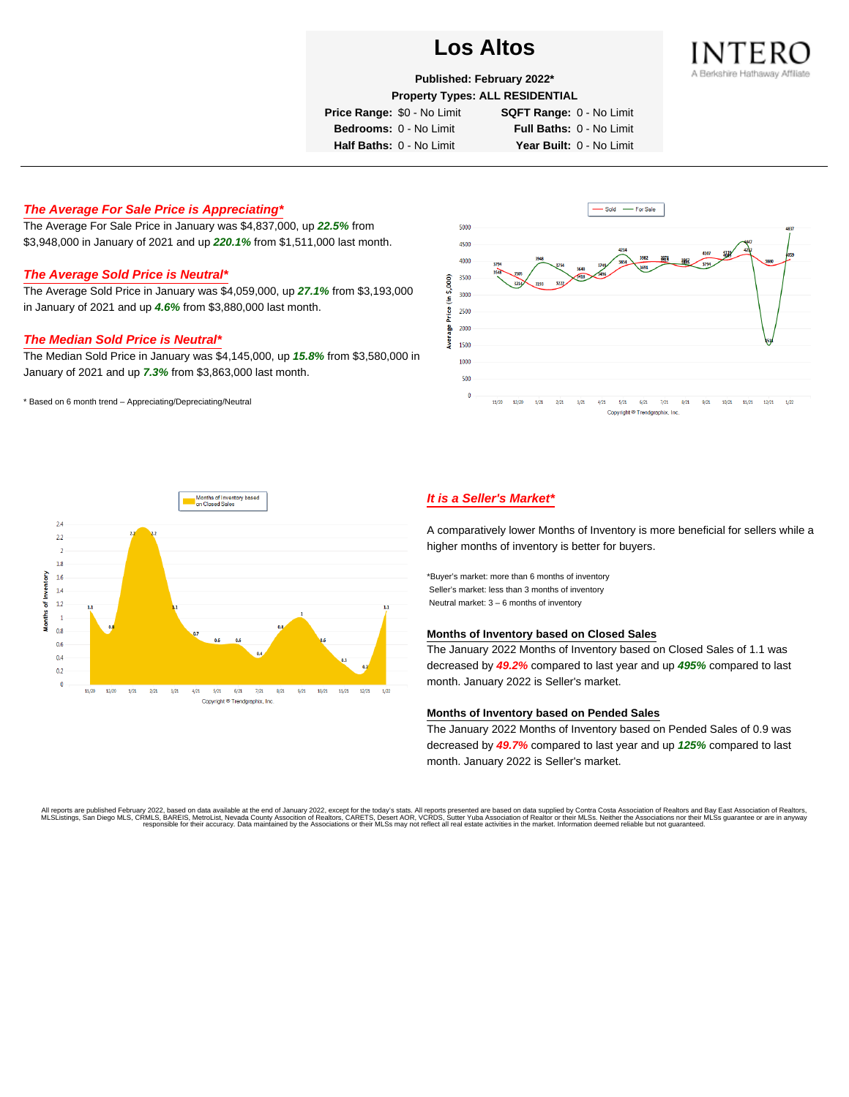

**Published: February 2022\***

#### **Property Types: ALL RESIDENTIAL**

**Price Range:** \$0 - No Limit **SQFT Range:** 0 - No Limit

**Bedrooms:** 0 - No Limit **Full Baths:** 0 - No Limit **Half Baths:** 0 - No Limit **Year Built:** 0 - No Limit

# **The Average For Sale Price is Appreciating\***

The Average For Sale Price in January was \$4,837,000, up **22.5%** from \$3,948,000 in January of 2021 and up **220.1%** from \$1,511,000 last month.

## **The Average Sold Price is Neutral\***

The Average Sold Price in January was \$4,059,000, up **27.1%** from \$3,193,000 in January of 2021 and up **4.6%** from \$3,880,000 last month.

## **The Median Sold Price is Neutral\***

The Median Sold Price in January was \$4,145,000, up **15.8%** from \$3,580,000 in January of 2021 and up **7.3%** from \$3,863,000 last month.

\* Based on 6 month trend – Appreciating/Depreciating/Neutral





# **It is a Seller's Market\***

A comparatively lower Months of Inventory is more beneficial for sellers while a higher months of inventory is better for buyers.

\*Buyer's market: more than 6 months of inventory Seller's market: less than 3 months of inventory Neutral market: 3 – 6 months of inventory

#### **Months of Inventory based on Closed Sales**

The January 2022 Months of Inventory based on Closed Sales of 1.1 was decreased by **49.2%** compared to last year and up **495%** compared to last month. January 2022 is Seller's market.

#### **Months of Inventory based on Pended Sales**

The January 2022 Months of Inventory based on Pended Sales of 0.9 was decreased by **49.7%** compared to last year and up **125%** compared to last month. January 2022 is Seller's market.

All reports are published February 2022, based on data available at the end of January 2022, except for the today's stats. All reports presented are based on data supplied by Contra Costa Association of Realtors, and beat responsible for their accuracy. Data maintained by the Associations or their MLSs may not reflect all real estate activities in the market. Information deemed reliable but not quaranteed